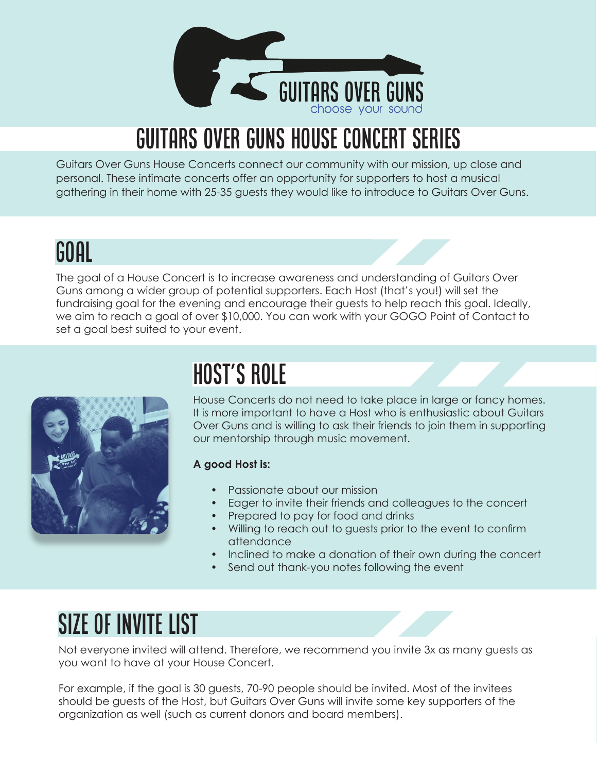

# Guitars Over Guns House Concert Series

Guitars Over Guns House Concerts connect our community with our mission, up close and personal. These intimate concerts offer an opportunity for supporters to host a musical gathering in their home with 25-35 guests they would like to introduce to Guitars Over Guns.

### Goal

The goal of a House Concert is to increase awareness and understanding of Guitars Over Guns among a wider group of potential supporters. Each Host (that's you!) will set the fundraising goal for the evening and encourage their guests to help reach this goal. Ideally, we aim to reach a goal of over \$10,000. You can work with your GOGO Point of Contact to set a goal best suited to your event.



# Host's Role

House Concerts do not need to take place in large or fancy homes. It is more important to have a Host who is enthusiastic about Guitars Over Guns and is willing to ask their friends to join them in supporting our mentorship through music movement.

#### **A good Host is:**

- Passionate about our mission
- Eager to invite their friends and colleagues to the concert
- Prepared to pay for food and drinks
- Willing to reach out to guests prior to the event to confirm attendance
- Inclined to make a donation of their own during the concert
- Send out thank-you notes following the event

## Size of Invite List

Not everyone invited will attend. Therefore, we recommend you invite 3x as many guests as you want to have at your House Concert.

For example, if the goal is 30 guests, 70-90 people should be invited. Most of the invitees should be guests of the Host, but Guitars Over Guns will invite some key supporters of the organization as well (such as current donors and board members).